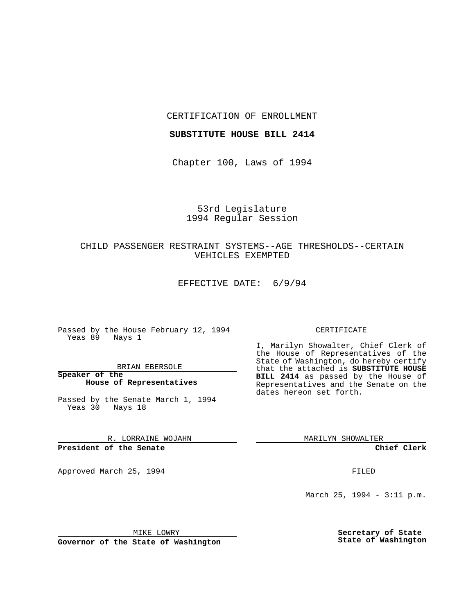CERTIFICATION OF ENROLLMENT

### **SUBSTITUTE HOUSE BILL 2414**

Chapter 100, Laws of 1994

# 53rd Legislature 1994 Regular Session

# CHILD PASSENGER RESTRAINT SYSTEMS--AGE THRESHOLDS--CERTAIN VEHICLES EXEMPTED

EFFECTIVE DATE: 6/9/94

Passed by the House February 12, 1994 Yeas 89 Nays 1

BRIAN EBERSOLE

**Speaker of the House of Representatives**

Passed by the Senate March 1, 1994 Yeas 30 Nays 18

R. LORRAINE WOJAHN

**President of the Senate**

Approved March 25, 1994 **FILED** 

#### CERTIFICATE

I, Marilyn Showalter, Chief Clerk of the House of Representatives of the State of Washington, do hereby certify that the attached is **SUBSTITUTE HOUSE BILL 2414** as passed by the House of Representatives and the Senate on the dates hereon set forth.

MARILYN SHOWALTER

**Chief Clerk**

March 25, 1994 - 3:11 p.m.

MIKE LOWRY

**Governor of the State of Washington**

**Secretary of State State of Washington**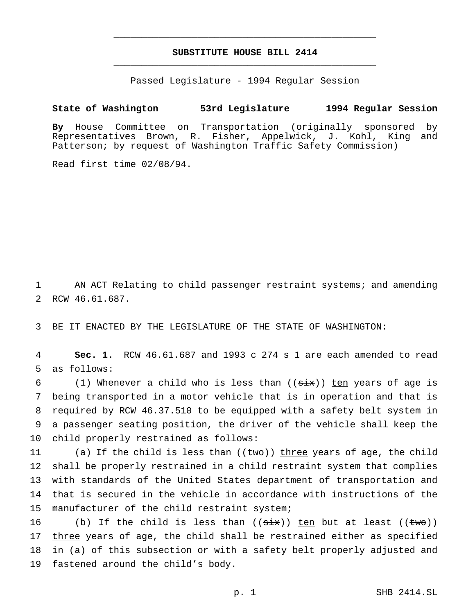# **SUBSTITUTE HOUSE BILL 2414** \_\_\_\_\_\_\_\_\_\_\_\_\_\_\_\_\_\_\_\_\_\_\_\_\_\_\_\_\_\_\_\_\_\_\_\_\_\_\_\_\_\_\_\_\_\_\_

\_\_\_\_\_\_\_\_\_\_\_\_\_\_\_\_\_\_\_\_\_\_\_\_\_\_\_\_\_\_\_\_\_\_\_\_\_\_\_\_\_\_\_\_\_\_\_

Passed Legislature - 1994 Regular Session

### **State of Washington 53rd Legislature 1994 Regular Session**

**By** House Committee on Transportation (originally sponsored by Representatives Brown, R. Fisher, Appelwick, J. Kohl, King and Patterson; by request of Washington Traffic Safety Commission)

Read first time 02/08/94.

1 AN ACT Relating to child passenger restraint systems; and amending 2 RCW 46.61.687.

3 BE IT ENACTED BY THE LEGISLATURE OF THE STATE OF WASHINGTON:

4 **Sec. 1.** RCW 46.61.687 and 1993 c 274 s 1 are each amended to read 5 as follows:

6 (1) Whenever a child who is less than  $((six))$  ten years of age is being transported in a motor vehicle that is in operation and that is required by RCW 46.37.510 to be equipped with a safety belt system in a passenger seating position, the driver of the vehicle shall keep the child properly restrained as follows:

11 (a) If the child is less than  $((tw\sigma))$  three years of age, the child 12 shall be properly restrained in a child restraint system that complies 13 with standards of the United States department of transportation and 14 that is secured in the vehicle in accordance with instructions of the 15 manufacturer of the child restraint system;

16 (b) If the child is less than  $((\text{six}))$  ten but at least  $((\text{two}))$ 17 three years of age, the child shall be restrained either as specified 18 in (a) of this subsection or with a safety belt properly adjusted and 19 fastened around the child's body.